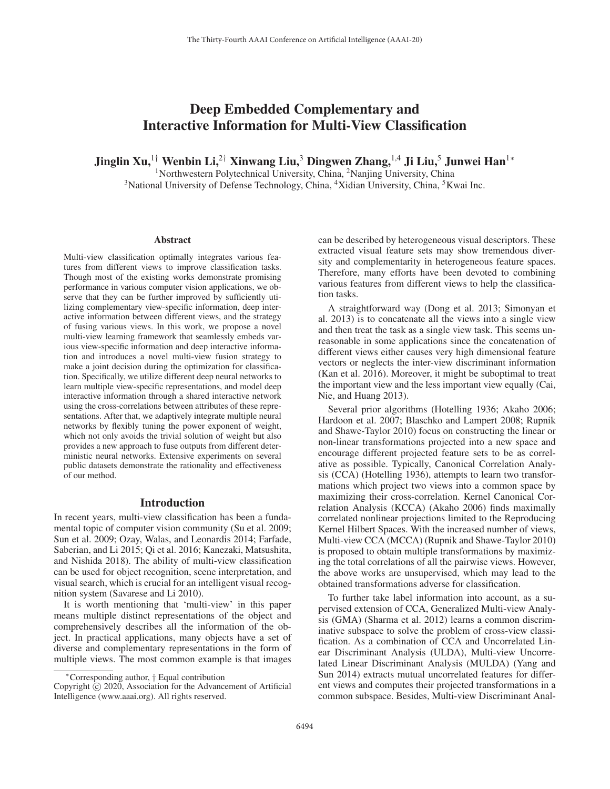# Deep Embedded Complementary and Interactive Information for Multi-View Classification

Jinglin Xu,<sup>1†</sup> Wenbin Li,<sup>2†</sup> Xinwang Liu,<sup>3</sup> Dingwen Zhang,<sup>1,4</sup> Ji Liu,<sup>5</sup> Junwei Han<sup>1</sup>\*

<sup>1</sup>Northwestern Polytechnical University, China, <sup>2</sup>Nanjing University, China <sup>3</sup>National University of Defense Technology, China, <sup>4</sup>Xidian University, China, <sup>5</sup>Kwai Inc.

#### Abstract

Multi-view classification optimally integrates various features from different views to improve classification tasks. Though most of the existing works demonstrate promising performance in various computer vision applications, we observe that they can be further improved by sufficiently utilizing complementary view-specific information, deep interactive information between different views, and the strategy of fusing various views. In this work, we propose a novel multi-view learning framework that seamlessly embeds various view-specific information and deep interactive information and introduces a novel multi-view fusion strategy to make a joint decision during the optimization for classification. Specifically, we utilize different deep neural networks to learn multiple view-specific representations, and model deep interactive information through a shared interactive network using the cross-correlations between attributes of these representations. After that, we adaptively integrate multiple neural networks by flexibly tuning the power exponent of weight, which not only avoids the trivial solution of weight but also provides a new approach to fuse outputs from different deterministic neural networks. Extensive experiments on several public datasets demonstrate the rationality and effectiveness of our method.

### Introduction

In recent years, multi-view classification has been a fundamental topic of computer vision community (Su et al. 2009; Sun et al. 2009; Ozay, Walas, and Leonardis 2014; Farfade, Saberian, and Li 2015; Qi et al. 2016; Kanezaki, Matsushita, and Nishida 2018). The ability of multi-view classification can be used for object recognition, scene interpretation, and visual search, which is crucial for an intelligent visual recognition system (Savarese and Li 2010).

It is worth mentioning that 'multi-view' in this paper means multiple distinct representations of the object and comprehensively describes all the information of the object. In practical applications, many objects have a set of diverse and complementary representations in the form of multiple views. The most common example is that images

can be described by heterogeneous visual descriptors. These extracted visual feature sets may show tremendous diversity and complementarity in heterogeneous feature spaces. Therefore, many efforts have been devoted to combining various features from different views to help the classification tasks.

A straightforward way (Dong et al. 2013; Simonyan et al. 2013) is to concatenate all the views into a single view and then treat the task as a single view task. This seems unreasonable in some applications since the concatenation of different views either causes very high dimensional feature vectors or neglects the inter-view discriminant information (Kan et al. 2016). Moreover, it might be suboptimal to treat the important view and the less important view equally (Cai, Nie, and Huang 2013).

Several prior algorithms (Hotelling 1936; Akaho 2006; Hardoon et al. 2007; Blaschko and Lampert 2008; Rupnik and Shawe-Taylor 2010) focus on constructing the linear or non-linear transformations projected into a new space and encourage different projected feature sets to be as correlative as possible. Typically, Canonical Correlation Analysis (CCA) (Hotelling 1936), attempts to learn two transformations which project two views into a common space by maximizing their cross-correlation. Kernel Canonical Correlation Analysis (KCCA) (Akaho 2006) finds maximally correlated nonlinear projections limited to the Reproducing Kernel Hilbert Spaces. With the increased number of views, Multi-view CCA (MCCA) (Rupnik and Shawe-Taylor 2010) is proposed to obtain multiple transformations by maximizing the total correlations of all the pairwise views. However, the above works are unsupervised, which may lead to the obtained transformations adverse for classification.

To further take label information into account, as a supervised extension of CCA, Generalized Multi-view Analysis (GMA) (Sharma et al. 2012) learns a common discriminative subspace to solve the problem of cross-view classification. As a combination of CCA and Uncorrelated Linear Discriminant Analysis (ULDA), Multi-view Uncorrelated Linear Discriminant Analysis (MULDA) (Yang and Sun 2014) extracts mutual uncorrelated features for different views and computes their projected transformations in a common subspace. Besides, Multi-view Discriminant Anal-

<sup>∗</sup>Corresponding author, † Equal contribution

Copyright  $\odot$  2020, Association for the Advancement of Artificial Intelligence (www.aaai.org). All rights reserved.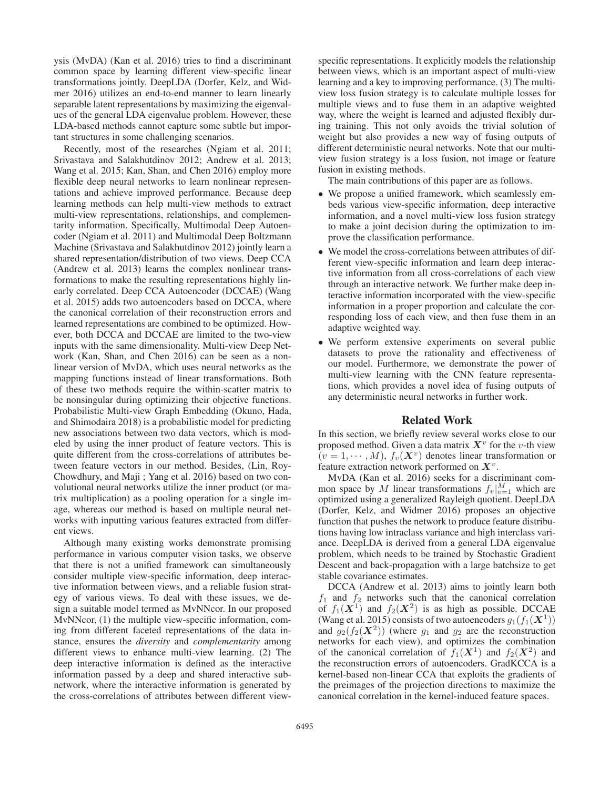ysis (MvDA) (Kan et al. 2016) tries to find a discriminant common space by learning different view-specific linear transformations jointly. DeepLDA (Dorfer, Kelz, and Widmer 2016) utilizes an end-to-end manner to learn linearly separable latent representations by maximizing the eigenvalues of the general LDA eigenvalue problem. However, these LDA-based methods cannot capture some subtle but important structures in some challenging scenarios.

Recently, most of the researches (Ngiam et al. 2011; Srivastava and Salakhutdinov 2012; Andrew et al. 2013; Wang et al. 2015; Kan, Shan, and Chen 2016) employ more flexible deep neural networks to learn nonlinear representations and achieve improved performance. Because deep learning methods can help multi-view methods to extract multi-view representations, relationships, and complementarity information. Specifically, Multimodal Deep Autoencoder (Ngiam et al. 2011) and Multimodal Deep Boltzmann Machine (Srivastava and Salakhutdinov 2012) jointly learn a shared representation/distribution of two views. Deep CCA (Andrew et al. 2013) learns the complex nonlinear transformations to make the resulting representations highly linearly correlated. Deep CCA Autoencoder (DCCAE) (Wang et al. 2015) adds two autoencoders based on DCCA, where the canonical correlation of their reconstruction errors and learned representations are combined to be optimized. However, both DCCA and DCCAE are limited to the two-view inputs with the same dimensionality. Multi-view Deep Network (Kan, Shan, and Chen 2016) can be seen as a nonlinear version of MvDA, which uses neural networks as the mapping functions instead of linear transformations. Both of these two methods require the within-scatter matrix to be nonsingular during optimizing their objective functions. Probabilistic Multi-view Graph Embedding (Okuno, Hada, and Shimodaira 2018) is a probabilistic model for predicting new associations between two data vectors, which is modeled by using the inner product of feature vectors. This is quite different from the cross-correlations of attributes between feature vectors in our method. Besides, (Lin, Roy-Chowdhury, and Maji ; Yang et al. 2016) based on two convolutional neural networks utilize the inner product (or matrix multiplication) as a pooling operation for a single image, whereas our method is based on multiple neural networks with inputting various features extracted from different views.

Although many existing works demonstrate promising performance in various computer vision tasks, we observe that there is not a unified framework can simultaneously consider multiple view-specific information, deep interactive information between views, and a reliable fusion strategy of various views. To deal with these issues, we design a suitable model termed as MvNNcor. In our proposed MvNNcor, (1) the multiple view-specific information, coming from different faceted representations of the data instance, ensures the *diversity* and *complementarity* among different views to enhance multi-view learning. (2) The deep interactive information is defined as the interactive information passed by a deep and shared interactive subnetwork, where the interactive information is generated by the cross-correlations of attributes between different view-

specific representations. It explicitly models the relationship between views, which is an important aspect of multi-view learning and a key to improving performance. (3) The multiview loss fusion strategy is to calculate multiple losses for multiple views and to fuse them in an adaptive weighted way, where the weight is learned and adjusted flexibly during training. This not only avoids the trivial solution of weight but also provides a new way of fusing outputs of different deterministic neural networks. Note that our multiview fusion strategy is a loss fusion, not image or feature fusion in existing methods.

The main contributions of this paper are as follows.

- We propose a unified framework, which seamlessly embeds various view-specific information, deep interactive information, and a novel multi-view loss fusion strategy to make a joint decision during the optimization to improve the classification performance.
- We model the cross-correlations between attributes of different view-specific information and learn deep interactive information from all cross-correlations of each view through an interactive network. We further make deep interactive information incorporated with the view-specific information in a proper proportion and calculate the corresponding loss of each view, and then fuse them in an adaptive weighted way.
- We perform extensive experiments on several public datasets to prove the rationality and effectiveness of our model. Furthermore, we demonstrate the power of multi-view learning with the CNN feature representations, which provides a novel idea of fusing outputs of any deterministic neural networks in further work.

### Related Work

In this section, we briefly review several works close to our proposed method. Given a data matrix  $X^v$  for the v-th view  $(v = 1, \dots, M)$ ,  $f_v(\mathbf{X}^v)$  denotes linear transformation or feature extraction network performed on *X*<sup>v</sup>.

MvDA (Kan et al. 2016) seeks for a discriminant common space by M linear transformations  $f_v|_{v=1}^M$  which are optimized using a generalized Rayleigh quotient. DeepLDA (Dorfer, Kelz, and Widmer 2016) proposes an objective function that pushes the network to produce feature distributions having low intraclass variance and high interclass variance. DeepLDA is derived from a general LDA eigenvalue problem, which needs to be trained by Stochastic Gradient Descent and back-propagation with a large batchsize to get stable covariance estimates.

DCCA (Andrew et al. 2013) aims to jointly learn both  $f_1$  and  $f_2$  networks such that the canonical correlation of  $f_1(\mathbf{X}^1)$  and  $f_2(\mathbf{X}^2)$  is as high as possible. DCCAE (Wang et al. 2015) consists of two autoencoders  $g_1(f_1(\mathbf{X}^1))$ and  $g_2(f_2(\mathbf{X}^2))$  (where  $g_1$  and  $g_2$  are the reconstruction networks for each view), and optimizes the combination of the canonical correlation of  $f_1(X^1)$  and  $f_2(X^2)$  and the reconstruction errors of autoencoders. GradKCCA is a kernel-based non-linear CCA that exploits the gradients of the preimages of the projection directions to maximize the canonical correlation in the kernel-induced feature spaces.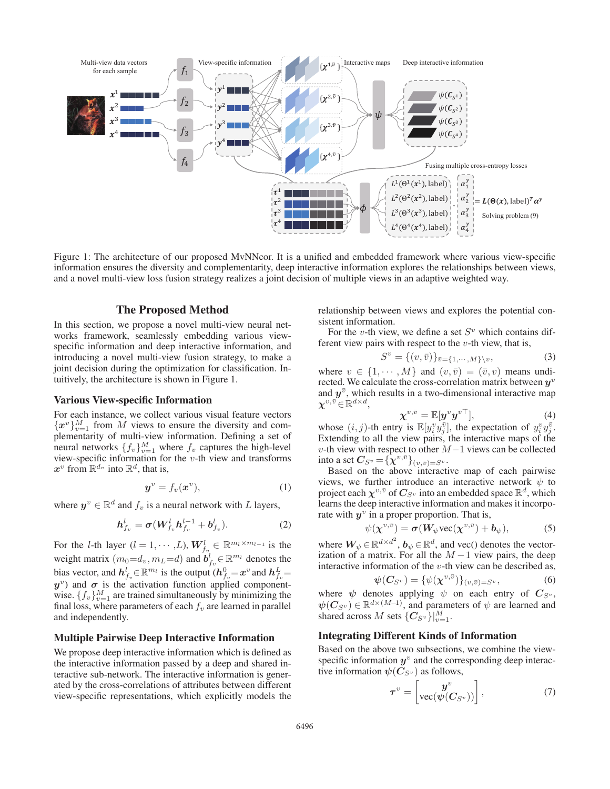

Figure 1: The architecture of our proposed MvNNcor. It is a unified and embedded framework where various view-specific information ensures the diversity and complementarity, deep interactive information explores the relationships between views, and a novel multi-view loss fusion strategy realizes a joint decision of multiple views in an adaptive weighted way.

### The Proposed Method

In this section, we propose a novel multi-view neural networks framework, seamlessly embedding various viewspecific information and deep interactive information, and introducing a novel multi-view fusion strategy, to make a joint decision during the optimization for classification. Intuitively, the architecture is shown in Figure 1.

### Various View-specific Information

For each instance, we collect various visual feature vectors  ${x^v}_{v=1}^M$  from M views to ensure the diversity and complementarity of multi-view information. Defining a set of neural networks  $\{f_v\}_{v=1}^M$  where  $f_v$  captures the high-level view-specific information for the  $v$ -th view and transforms  $x^v$  from  $\mathbb{R}^{d_v}$  into  $\mathbb{R}^d$ , that is,

$$
\boldsymbol{y}^v = f_v(\boldsymbol{x}^v),\tag{1}
$$

where  $y^v \in \mathbb{R}^d$  and  $f_v$  is a neural network with L layers,

$$
h_{f_v}^l = \sigma(W_{f_v}^l h_{f_v}^{l-1} + b_{f_v}^l). \tag{2}
$$

For the *l*-th layer  $(l = 1, \dots, L)$ ,  $W_{f_v}^l \in \mathbb{R}^{m_l \times m_{l-1}}$  is the weight matrix  $(m_0 = d_v, m_L = d)$  and  $\mathbf{b}^l_{f_v} \in \mathbb{R}^{m_l}$  denotes the bias vector, and  $h_{f_v}^l \in \mathbb{R}^{m_l}$  is the output  $(h_{f_v}^0 = x^v \text{ and } h_{f_v}^L =$ <br>*v*<sup>v</sup>) and  $\sigma$  is the activation function applied component $y^v$ ) and  $\sigma$  is the activation function applied componentwise.  $\{f_v\}_{v=1}^M$  are trained simultaneously by minimizing the final loss, where parameters of each  $f_v$  are learned in parallel and independently.

### Multiple Pairwise Deep Interactive Information

We propose deep interactive information which is defined as the interactive information passed by a deep and shared interactive sub-network. The interactive information is generated by the cross-correlations of attributes between different view-specific representations, which explicitly models the relationship between views and explores the potential consistent information.

For the v-th view, we define a set  $S<sup>v</sup>$  which contains different view pairs with respect to the  $v$ -th view, that is,

$$
S^v = \{(v, \bar{v})\}_{\bar{v} = \{1, \cdots, M\}\backslash v},\tag{3}
$$

where  $v \in \{1, \dots, M\}$  and  $(v, \bar{v}) = (\bar{v}, v)$  means undi-<br>rected We calculate the cross-correlation matrix between  $u^v$ rected. We calculate the cross-correlation matrix between *y*<sup>v</sup> and  $y^{\bar{v}}$ , which results in a two-dimensional interactive map  $\chi^{v,\bar{v}}\!\in\!\mathbb{R}^{d\times d},$ 

$$
\chi^{v,\bar{v}} = \mathbb{E}[y^v y^{\bar{v}\top}], \tag{4}
$$
  

whose  $(i, j)$ -th entry is  $\mathbb{E}[y_i^v y_j^{\overline{v}}]$ , the expectation of  $y_i^v y_j^{\overline{v}}$ .<br>Extending to all the view pairs the interactive mans of the Extending to all the view pairs, the interactive maps of the v-th view with respect to other  $M-1$  views can be collected into a set  $C_{S_v} = {\bar{\chi}^{v,\bar{v}}}_{(v,\bar{v})=S_v}$ .

Based on the above interactive map of each pairwise views, we further introduce an interactive network  $\psi$  to project each  $\chi^{v,\bar{v}}$  of  $C_{S^v}$  into an embedded space  $\mathbb{R}^d$ , which learns the deep interactive information and makes it incorporate with  $y^v$  in a proper proportion. That is,

$$
\psi(\chi^{v,\bar{v}}) = \sigma(W_{\psi} \text{vec}(\chi^{v,\bar{v}}) + b_{\psi}), \tag{5}
$$

where  $\boldsymbol{W_{\psi}} \in \mathbb{R}^{d \times d^2}$ ,  $\boldsymbol{b_{\psi}} \in \mathbb{R}^{d}$ , and vec() denotes the vectorization of a matrix. For all the  $M-1$  view pairs, the deep interactive information of the  $v$ -th view can be described as,

$$
\psi(C_{S^v}) = \{\psi(\chi^{v,\bar{v}})\}_{(v,\bar{v})=S^v},\tag{6}
$$

 $\psi(C_{S^v}) = {\psi(\chi^{v,\bar{v}})}_{(v,\bar{v})=S^v}$ , (6)<br>where  $\psi$  denotes applying  $\psi$  on each entry of *C*<sub>S<sup>*v*</sup></sub>,  $\psi(C_{S_v}) \in \mathbb{R}^{d \times (M-1)}$ , and parameters of  $\psi$  are learned and shared across M sets  ${C_{S_v}}_{v=1}^{M}$ .

### Integrating Different Kinds of Information

Based on the above two subsections, we combine the viewspecific information  $y^v$  and the corresponding deep interactive information  $\psi(C_{S_v})$  as follows,

$$
\boldsymbol{\tau}^v = \begin{bmatrix} \boldsymbol{y}^v \\ \text{vec}(\boldsymbol{\psi}(C_{S^v})) \end{bmatrix}, \tag{7}
$$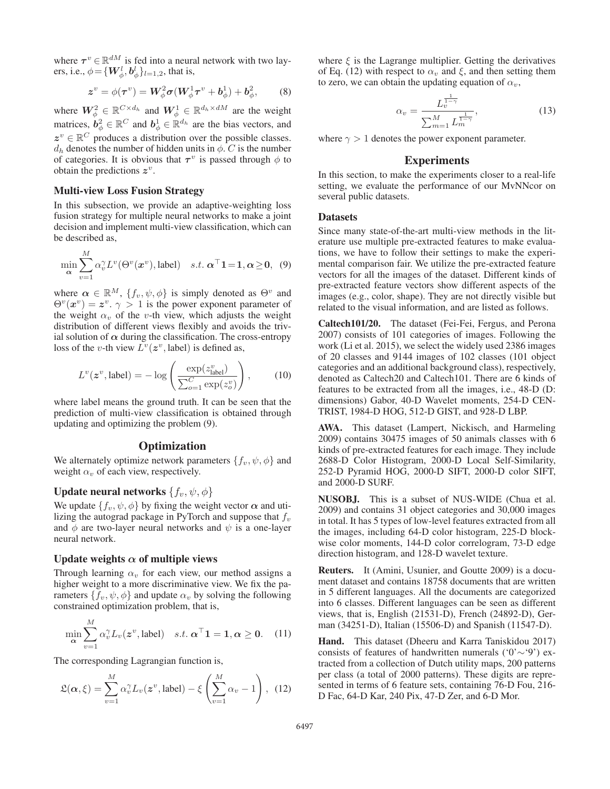where  $\tau^v \in \mathbb{R}^{dM}$  is fed into a neural network with two layers, i.e.,  $\phi = {\{W_{\phi}^l, b_{\phi}^l\}_{l=1,2}}$ , that is,

$$
z^v = \phi(\tau^v) = W_\phi^2 \sigma(W_\phi^1 \tau^v + b_\phi^1) + b_\phi^2, \qquad (8)
$$

where  $W_{\phi}^2 \in \mathbb{R}^{C \times d_h}$  and  $W_{\phi}^1 \in \mathbb{R}^{d_h \times d_M}$  are the weight matrices,  $\mathbf{b}_{\phi}^2 \in \mathbb{R}^C$  and  $\mathbf{b}_{\phi}^1 \in \mathbb{R}^{d_h}$  are the bias vectors, and  $z^v \in \mathbb{R}^C$  produces a distribution over the possible classes.  $d_h$  denotes the number of hidden units in  $\phi$ . C is the number of categories. It is obvious that  $\tau^v$  is passed through  $\phi$  to obtain the predictions *z*v.

### Multi-view Loss Fusion Strategy

In this subsection, we provide an adaptive-weighting loss fusion strategy for multiple neural networks to make a joint decision and implement multi-view classification, which can be described as,

$$
\min_{\mathbf{\alpha}} \sum_{v=1}^{M} \alpha_{v}^{\gamma} L^{v}(\Theta^{v}(\boldsymbol{x}^{v}), \text{label}) \quad s.t. \; \boldsymbol{\alpha}^{\top} \mathbf{1} = \mathbf{1}, \boldsymbol{\alpha} \ge \mathbf{0}, \tag{9}
$$

where  $\alpha \in \mathbb{R}^M$ ,  $\{f_v, \psi, \phi\}$  is simply denoted as  $\Theta^v$  and  $\Theta^v(x^v) = z^v \sim 1$  is the nower exponent parameter of  $\Theta^v(x^v) = z^v$ .  $\gamma > 1$  is the power exponent parameter of the weight  $\alpha_v$  of the *n*-th view which adjusts the weight the weight  $\alpha_v$  of the v-th view, which adjusts the weight distribution of different views flexibly and avoids the trivial solution of  $\alpha$  during the classification. The cross-entropy loss of the *v*-th view  $L^v(z^v, \text{label})$  is defined as,

$$
L^v(z^v, \text{label}) = -\log\left(\frac{\exp(z^v_{\text{label}})}{\sum_{o=1}^C \exp(z^v_o)}\right),\tag{10}
$$

where label means the ground truth. It can be seen that the prediction of multi-view classification is obtained through updating and optimizing the problem (9).

### **Optimization**

We alternately optimize network parameters  $\{f_v, \psi, \phi\}$  and weight  $\alpha_v$  of each view, respectively.

### Update neural networks  $\{f_v, \psi, \phi\}$

We update  $\{f_v, \psi, \phi\}$  by fixing the weight vector  $\alpha$  and utilizing the autograd package in PyTorch and suppose that  $f_v$ and  $\phi$  are two-layer neural networks and  $\psi$  is a one-layer neural network.

### Update weights  $\alpha$  of multiple views

Through learning  $\alpha_v$  for each view, our method assigns a higher weight to a more discriminative view. We fix the parameters  $\{f_v, \psi, \phi\}$  and update  $\alpha_v$  by solving the following constrained optimization problem, that is,

$$
\min_{\mathbf{\alpha}} \sum_{v=1}^{M} \alpha_{v}^{\gamma} L_{v}(\mathbf{z}^{v}, \text{label}) \quad s.t. \; \mathbf{\alpha}^{\top} \mathbf{1} = \mathbf{1}, \mathbf{\alpha} \geq \mathbf{0}. \tag{11}
$$

The corresponding Lagrangian function is,

$$
\mathfrak{L}(\alpha,\xi) = \sum_{v=1}^{M} \alpha_v^{\gamma} L_v(\boldsymbol{z}^v,\text{label}) - \xi \left(\sum_{v=1}^{M} \alpha_v - 1\right), \tag{12}
$$

where  $\xi$  is the Lagrange multiplier. Getting the derivatives of Eq. (12) with respect to  $\alpha_v$  and  $\xi$ , and then setting them to zero, we can obtain the updating equation of  $\alpha_v$ ,

$$
\alpha_v = \frac{L_v^{\frac{1}{1-\gamma}}}{\sum_{m=1}^M L_m^{\frac{1}{1-\gamma}}},\tag{13}
$$

where  $\gamma > 1$  denotes the power exponent parameter.

### Experiments

In this section, to make the experiments closer to a real-life setting, we evaluate the performance of our MvNNcor on several public datasets.

#### Datasets

Since many state-of-the-art multi-view methods in the literature use multiple pre-extracted features to make evaluations, we have to follow their settings to make the experimental comparison fair. We utilize the pre-extracted feature vectors for all the images of the dataset. Different kinds of pre-extracted feature vectors show different aspects of the images (e.g., color, shape). They are not directly visible but related to the visual information, and are listed as follows.

Caltech101/20. The dataset (Fei-Fei, Fergus, and Perona 2007) consists of 101 categories of images. Following the work (Li et al. 2015), we select the widely used 2386 images of 20 classes and 9144 images of 102 classes (101 object categories and an additional background class), respectively, denoted as Caltech20 and Caltech101. There are 6 kinds of features to be extracted from all the images, i.e., 48-D (D: dimensions) Gabor, 40-D Wavelet moments, 254-D CEN-TRIST, 1984-D HOG, 512-D GIST, and 928-D LBP.

AWA. This dataset (Lampert, Nickisch, and Harmeling 2009) contains 30475 images of 50 animals classes with 6 kinds of pre-extracted features for each image. They include 2688-D Color Histogram, 2000-D Local Self-Similarity, 252-D Pyramid HOG, 2000-D SIFT, 2000-D color SIFT, and 2000-D SURF.

NUSOBJ. This is a subset of NUS-WIDE (Chua et al. 2009) and contains 31 object categories and 30,000 images in total. It has 5 types of low-level features extracted from all the images, including 64-D color histogram, 225-D blockwise color moments, 144-D color correlogram, 73-D edge direction histogram, and 128-D wavelet texture.

Reuters. It (Amini, Usunier, and Goutte 2009) is a document dataset and contains 18758 documents that are written in 5 different languages. All the documents are categorized into 6 classes. Different languages can be seen as different views, that is, English (21531-D), French (24892-D), German (34251-D), Italian (15506-D) and Spanish (11547-D).

Hand. This dataset (Dheeru and Karra Taniskidou 2017) consists of features of handwritten numerals ('0'∼'9') extracted from a collection of Dutch utility maps, 200 patterns per class (a total of 2000 patterns). These digits are represented in terms of 6 feature sets, containing 76-D Fou, 216- D Fac, 64-D Kar, 240 Pix, 47-D Zer, and 6-D Mor.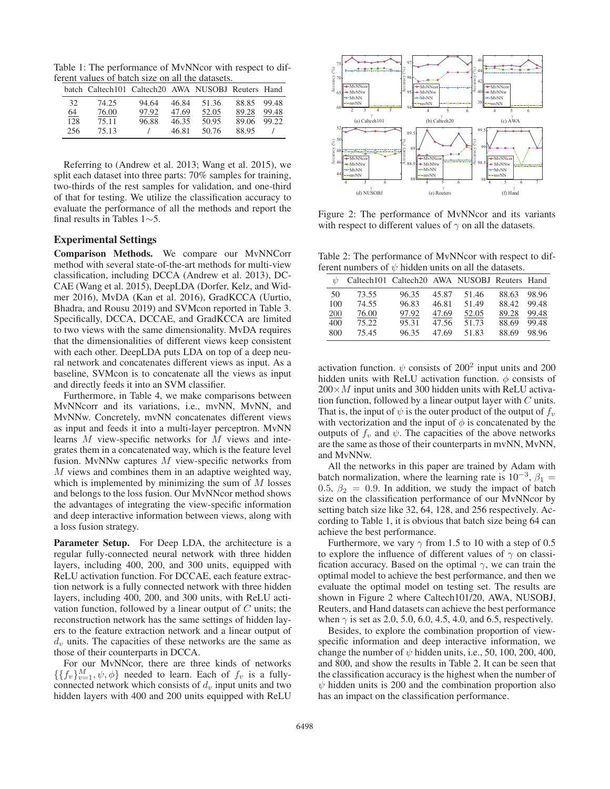Table 1: The performance of MvNNcor with respect to different values of batch size on all the datasets.

|     | batch Caltech101 Caltech20 AWA NUSOBJ Reuters Hand |       |       |       |       |       |
|-----|----------------------------------------------------|-------|-------|-------|-------|-------|
| 32  | 74.25                                              | 94.64 | 46.84 | 51.36 | 88.85 | 99.48 |
| 64  | 76.00                                              | 97.92 | 47.69 | 52.05 | 89.28 | 99.48 |
| 128 | 75.11                                              | 96.88 | 46.35 | 50.95 | 89.06 | 99.22 |
| 256 | 75.13                                              |       | 46.81 | 50.76 | 88.95 |       |

Referring to (Andrew et al. 2013; Wang et al. 2015), we split each dataset into three parts: 70% samples for training, two-thirds of the rest samples for validation, and one-third of that for testing. We utilize the classification accuracy to evaluate the performance of all the methods and report the final results in Tables 1∼5.

### Experimental Settings

Comparison Methods. We compare our MvNNCorr method with several state-of-the-art methods for multi-view classification, including DCCA (Andrew et al. 2013), DC-CAE (Wang et al. 2015), DeepLDA (Dorfer, Kelz, and Widmer 2016), MvDA (Kan et al. 2016), GradKCCA (Uurtio, Bhadra, and Rousu 2019) and SVMcon reported in Table 3. Specifically, DCCA, DCCAE, and GradKCCA are limited to two views with the same dimensionality. MvDA requires that the dimensionalities of different views keep consistent with each other. DeepLDA puts LDA on top of a deep neural network and concatenates different views as input. As a baseline, SVMcon is to concatenate all the views as input and directly feeds it into an SVM classifier.

Furthermore, in Table 4, we make comparisons between MvNNcorr and its variations, i.e., mvNN, MvNN, and MvNNw. Concretely, mvNN concatenates different views as input and feeds it into a multi-layer perceptron. MvNN learns M view-specific networks for M views and integrates them in a concatenated way, which is the feature level fusion. MvNNw captures  $M$  view-specific networks from M views and combines them in an adaptive weighted way, which is implemented by minimizing the sum of  $M$  losses and belongs to the loss fusion. Our MvNNcor method shows the advantages of integrating the view-specific information and deep interactive information between views, along with a loss fusion strategy.

Parameter Setup. For Deep LDA, the architecture is a regular fully-connected neural network with three hidden layers, including 400, 200, and 300 units, equipped with ReLU activation function. For DCCAE, each feature extraction network is a fully connected network with three hidden layers, including 400, 200, and 300 units, with ReLU activation function, followed by a linear output of  $C$  units; the reconstruction network has the same settings of hidden layers to the feature extraction network and a linear output of  $d<sub>v</sub>$  units. The capacities of these networks are the same as those of their counterparts in DCCA.

For our MvNNcor, there are three kinds of networks  $\{\{f_v\}_{v=1}^M, \psi, \phi\}$  needed to learn. Each of  $f_v$  is a fullyconnected network which consists of  $d<sub>v</sub>$  input units and two hidden layers with 400 and 200 units equipped with ReLU



Figure 2: The performance of MvNNcor and its variants with respect to different values of  $\gamma$  on all the datasets.

Table 2: The performance of MvNNcor with respect to different numbers of  $\psi$  hidden units on all the datasets.

| $\frac{1}{2}$ | Caltech101 Caltech20 AWA NUSOBJ Reuters Hand |       |       |       |       |       |
|---------------|----------------------------------------------|-------|-------|-------|-------|-------|
| 50            | 73.55                                        | 96.35 | 45.87 | 51.46 | 88.63 | 98.96 |
| 100           | 74.55                                        | 96.83 | 46.81 | 51.49 | 88.42 | 99.48 |
| 200           | 76.00                                        | 97.92 | 47.69 | 52.05 | 89.28 | 99.48 |
| 400           | 75.22                                        | 95.31 | 47.56 | 51.73 | 88.69 | 99.48 |
| 800           | 75.45                                        | 96.35 | 47.69 | 51.83 | 88.69 | 98.96 |

activation function.  $\psi$  consists of 200<sup>2</sup> input units and 200 hidden units with ReLU activation function.  $\phi$  consists of  $200\times M$  input units and 300 hidden units with ReLU activation function, followed by a linear output layer with  $C$  units. That is, the input of  $\psi$  is the outer product of the output of  $f_\nu$ with vectorization and the input of  $\phi$  is concatenated by the outputs of  $f<sub>v</sub>$  and  $\psi$ . The capacities of the above networks are the same as those of their counterparts in mvNN, MvNN, and MvNNw.

All the networks in this paper are trained by Adam with batch normalization, where the learning rate is  $10^{-3}$ ,  $\beta_1 =$ 0.5,  $\beta_2 = 0.9$ . In addition, we study the impact of batch size on the classification performance of our MvNNcor by setting batch size like 32, 64, 128, and 256 respectively. According to Table 1, it is obvious that batch size being 64 can achieve the best performance.

Furthermore, we vary  $\gamma$  from 1.5 to 10 with a step of 0.5 to explore the influence of different values of  $\gamma$  on classification accuracy. Based on the optimal  $\gamma$ , we can train the optimal model to achieve the best performance, and then we evaluate the optimal model on testing set. The results are shown in Figure 2 where Caltech101/20, AWA, NUSOBJ, Reuters, and Hand datasets can achieve the best performance when  $\gamma$  is set as 2.0, 5.0, 6.0, 4.5, 4.0, and 6.5, respectively.

Besides, to explore the combination proportion of viewspecific information and deep interactive information, we change the number of  $\psi$  hidden units, i.e., 50, 100, 200, 400, and 800, and show the results in Table 2. It can be seen that the classification accuracy is the highest when the number of  $\psi$  hidden units is 200 and the combination proportion also has an impact on the classification performance.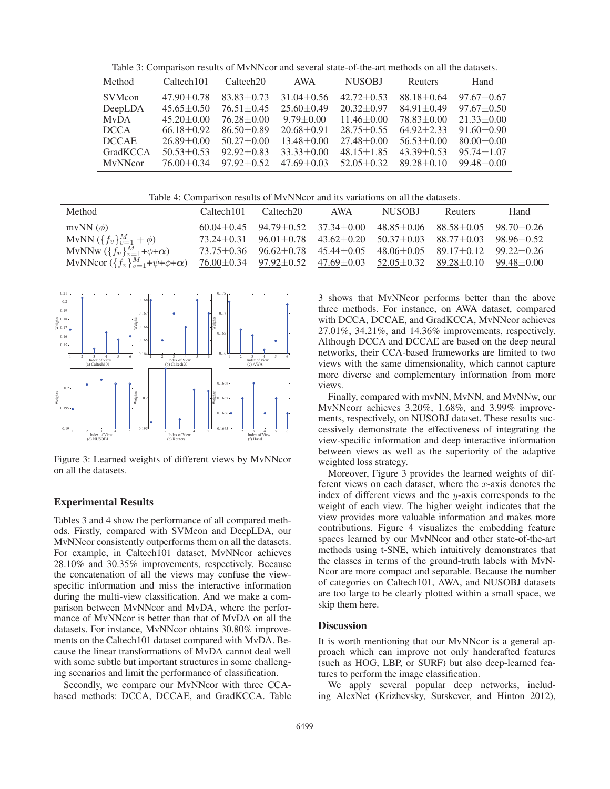Table 3: Comparison results of MvNNcor and several state-of-the-art methods on all the datasets.

| Method         | Caltech <sub>101</sub> | Caltech <sub>20</sub> | <b>AWA</b>       | <b>NUSOBJ</b>    | Reuters          | Hand             |
|----------------|------------------------|-----------------------|------------------|------------------|------------------|------------------|
| <b>SVMcon</b>  | $47.90 \pm 0.78$       | $83.83 \pm 0.73$      | $31.04 \pm 0.56$ | $42.72 \pm 0.53$ | $88.18 + 0.64$   | $97.67 + 0.67$   |
| DeepLDA        | $45.65 \pm 0.50$       | $76.51 \pm 0.45$      | $25.60 + 0.49$   | $20.32 \pm 0.97$ | $84.91 \pm 0.49$ | $97.67 + 0.50$   |
| <b>MvDA</b>    | $45.20 \pm 0.00$       | $76.28 \pm 0.00$      | $9.79 \pm 0.00$  | $11.46 \pm 0.00$ | $78.83 + 0.00$   | $21.33 \pm 0.00$ |
| <b>DCCA</b>    | $66.18 \pm 0.92$       | $86.50 \pm 0.89$      | $20.68 + 0.91$   | $28.75 + 0.55$   | $64.92 + 2.33$   | $91.60 \pm 0.90$ |
| <b>DCCAE</b>   | $26.89 + 0.00$         | $50.27 \pm 0.00$      | $13.48 \pm 0.00$ | $27.48 + 0.00$   | $56.53 \pm 0.00$ | $80.00 \pm 0.00$ |
| GradKCCA       | $50.53 + 0.53$         | $92.92 \pm 0.83$      | $33.33 + 0.00$   | $48.15 \pm 1.85$ | $43.39 + 0.53$   | $95.74 \pm 1.07$ |
| <b>MvNNcor</b> | $76.00 \pm 0.34$       | $97.92 \pm 0.52$      | $47.69 \pm 0.03$ | $52.05 \pm 0.32$ | $89.28 \pm 0.10$ | $99.48 \pm 0.00$ |

Table 4: Comparison results of MvNNcor and its variations on all the datasets.

| Method                                                | Caltech <sub>101</sub> | Caltech <sub>20</sub>                              | AWA                                                                                                   | <b>NUSOBJ</b>                     | <b>Reuters</b>                                     | Hand             |
|-------------------------------------------------------|------------------------|----------------------------------------------------|-------------------------------------------------------------------------------------------------------|-----------------------------------|----------------------------------------------------|------------------|
| mvNN $(\phi)$                                         |                        | $60.04 \pm 0.45$ $94.79 \pm 0.52$ $37.34 \pm 0.00$ |                                                                                                       | $48.85 \pm 0.06$ $88.58 \pm 0.05$ |                                                    | $98.70 \pm 0.26$ |
| MvNN $({f_v})_{v=1}^M + \phi$                         | 73.24 + 0.31           |                                                    | $96.01 \pm 0.78$ $43.62 \pm 0.20$                                                                     | $50.37 \pm 0.03$ $88.77 \pm 0.03$ |                                                    | $98.96 \pm 0.52$ |
| MvNNw $(\lbrace f_v \rbrace_{v=1}^M + \phi + \alpha)$ |                        | $73.75\pm0.36$ $96.62\pm0.78$ $45.44\pm0.05$       |                                                                                                       |                                   | $48.06 \pm 0.05$ $89.17 \pm 0.12$ $99.22 \pm 0.26$ |                  |
| MvNNcor $({f_v}_{v=1}^M+\psi+\phi+\alpha)$            |                        |                                                    | $76.00 \pm 0.34$ $97.92 \pm 0.52$ $47.69 \pm 0.03$ $52.05 \pm 0.32$ $89.28 \pm 0.10$ $99.48 \pm 0.00$ |                                   |                                                    |                  |



Figure 3: Learned weights of different views by MvNNcor on all the datasets.

### Experimental Results

Tables 3 and 4 show the performance of all compared methods. Firstly, compared with SVMcon and DeepLDA, our MvNNcor consistently outperforms them on all the datasets. For example, in Caltech101 dataset, MvNNcor achieves 28.10% and 30.35% improvements, respectively. Because the concatenation of all the views may confuse the viewspecific information and miss the interactive information during the multi-view classification. And we make a comparison between MvNNcor and MvDA, where the performance of MvNNcor is better than that of MvDA on all the datasets. For instance, MvNNcor obtains 30.80% improvements on the Caltech101 dataset compared with MvDA. Because the linear transformations of MvDA cannot deal well with some subtle but important structures in some challenging scenarios and limit the performance of classification.

Secondly, we compare our MvNNcor with three CCAbased methods: DCCA, DCCAE, and GradKCCA. Table

3 shows that MvNNcor performs better than the above three methods. For instance, on AWA dataset, compared with DCCA, DCCAE, and GradKCCA, MvNNcor achieves 27.01%, 34.21%, and 14.36% improvements, respectively. Although DCCA and DCCAE are based on the deep neural networks, their CCA-based frameworks are limited to two views with the same dimensionality, which cannot capture more diverse and complementary information from more views.

Finally, compared with mvNN, MvNN, and MvNNw, our MvNNcorr achieves 3.20%, 1.68%, and 3.99% improvements, respectively, on NUSOBJ dataset. These results successively demonstrate the effectiveness of integrating the view-specific information and deep interactive information between views as well as the superiority of the adaptive weighted loss strategy.

Moreover, Figure 3 provides the learned weights of different views on each dataset, where the  $x$ -axis denotes the index of different views and the y-axis corresponds to the weight of each view. The higher weight indicates that the view provides more valuable information and makes more contributions. Figure 4 visualizes the embedding feature spaces learned by our MvNNcor and other state-of-the-art methods using t-SNE, which intuitively demonstrates that the classes in terms of the ground-truth labels with MvN-Ncor are more compact and separable. Because the number of categories on Caltech101, AWA, and NUSOBJ datasets are too large to be clearly plotted within a small space, we skip them here.

### **Discussion**

It is worth mentioning that our MvNNcor is a general approach which can improve not only handcrafted features (such as HOG, LBP, or SURF) but also deep-learned features to perform the image classification.

We apply several popular deep networks, including AlexNet (Krizhevsky, Sutskever, and Hinton 2012),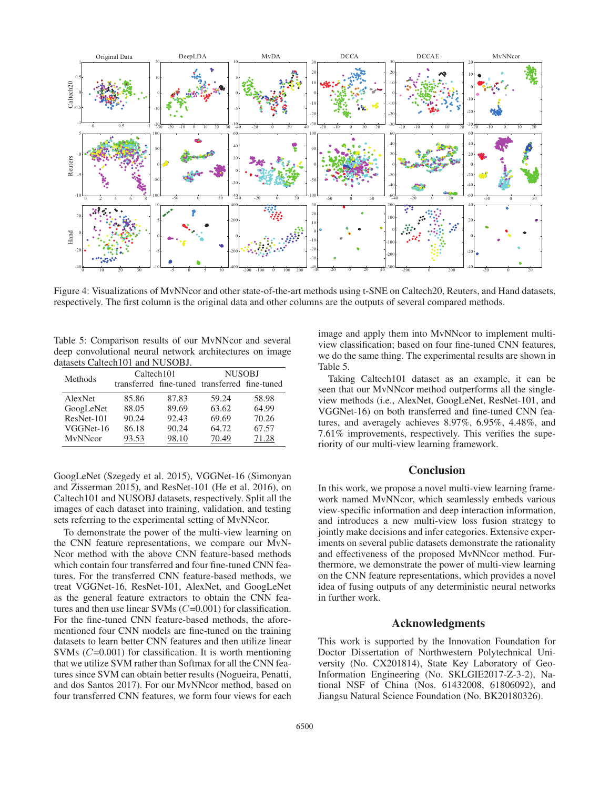

Figure 4: Visualizations of MvNNcor and other state-of-the-art methods using t-SNE on Caltech20, Reuters, and Hand datasets, respectively. The first column is the original data and other columns are the outputs of several compared methods.

Table 5: Comparison results of our MvNNcor and several deep convolutional neural network architectures on image datasets Caltech101 and NUSOBJ.

| Methods    | Caltech <sub>101</sub>                        |       | <b>NUSOBJ</b> |       |  |
|------------|-----------------------------------------------|-------|---------------|-------|--|
|            | transferred fine-tuned transferred fine-tuned |       |               |       |  |
| AlexNet    | 85.86                                         | 87.83 | 59.24         | 58.98 |  |
| GoogLeNet  | 88.05                                         | 89.69 | 63.62         | 64.99 |  |
| ResNet-101 | 90.24                                         | 92.43 | 69.69         | 70.26 |  |
| VGGNet-16  | 86.18                                         | 90.24 | 64.72         | 67.57 |  |
| MvNNcor    | 93.53                                         | 98.10 | 70.49         | 71.28 |  |

GoogLeNet (Szegedy et al. 2015), VGGNet-16 (Simonyan and Zisserman 2015), and ResNet-101 (He et al. 2016), on Caltech101 and NUSOBJ datasets, respectively. Split all the images of each dataset into training, validation, and testing sets referring to the experimental setting of MvNNcor.

To demonstrate the power of the multi-view learning on the CNN feature representations, we compare our MvN-Ncor method with the above CNN feature-based methods which contain four transferred and four fine-tuned CNN features. For the transferred CNN feature-based methods, we treat VGGNet-16, ResNet-101, AlexNet, and GoogLeNet as the general feature extractors to obtain the CNN features and then use linear SVMs  $(C=0.001)$  for classification. For the fine-tuned CNN feature-based methods, the aforementioned four CNN models are fine-tuned on the training datasets to learn better CNN features and then utilize linear SVMs  $(C=0.001)$  for classification. It is worth mentioning that we utilize SVM rather than Softmax for all the CNN features since SVM can obtain better results (Nogueira, Penatti, and dos Santos 2017). For our MvNNcor method, based on four transferred CNN features, we form four views for each

image and apply them into MvNNcor to implement multiview classification; based on four fine-tuned CNN features, we do the same thing. The experimental results are shown in Table 5.

Taking Caltech101 dataset as an example, it can be seen that our MvNNcor method outperforms all the singleview methods (i.e., AlexNet, GoogLeNet, ResNet-101, and VGGNet-16) on both transferred and fine-tuned CNN features, and averagely achieves 8.97%, 6.95%, 4.48%, and 7.61% improvements, respectively. This verifies the superiority of our multi-view learning framework.

# **Conclusion**

In this work, we propose a novel multi-view learning framework named MvNNcor, which seamlessly embeds various view-specific information and deep interaction information, and introduces a new multi-view loss fusion strategy to jointly make decisions and infer categories. Extensive experiments on several public datasets demonstrate the rationality and effectiveness of the proposed MvNNcor method. Furthermore, we demonstrate the power of multi-view learning on the CNN feature representations, which provides a novel idea of fusing outputs of any deterministic neural networks in further work.

## Acknowledgments

This work is supported by the Innovation Foundation for Doctor Dissertation of Northwestern Polytechnical University (No. CX201814), State Key Laboratory of Geo-Information Engineering (No. SKLGIE2017-Z-3-2), National NSF of China (Nos. 61432008, 61806092), and Jiangsu Natural Science Foundation (No. BK20180326).